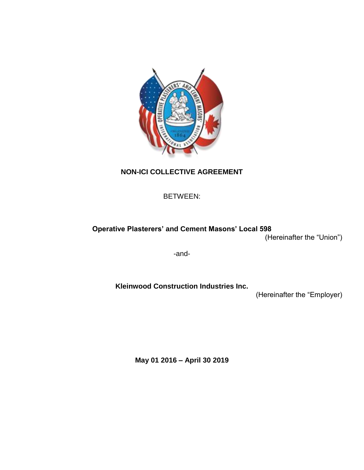

# **NON-ICI COLLECTIVE AGREEMENT**

BETWEEN:

# **Operative Plasterers' and Cement Masons' Local 598**

(Hereinafter the "Union")

-and-

**Kleinwood Construction Industries Inc.** 

(Hereinafter the "Employer)

**May 01 2016 – April 30 2019**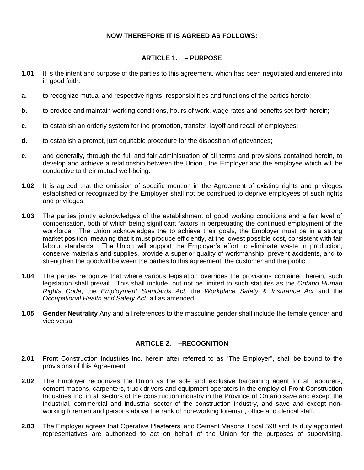### **NOW THEREFORE IT IS AGREED AS FOLLOWS:**

### **ARTICLE 1. – PURPOSE**

- **1.01** It is the intent and purpose of the parties to this agreement, which has been negotiated and entered into in good faith:
- **a.** to recognize mutual and respective rights, responsibilities and functions of the parties hereto;
- **b.** to provide and maintain working conditions, hours of work, wage rates and benefits set forth herein;
- **c.** to establish an orderly system for the promotion, transfer, layoff and recall of employees;
- **d.** to establish a prompt, just equitable procedure for the disposition of grievances;
- **e.** and generally, through the full and fair administration of all terms and provisions contained herein, to develop and achieve a relationship between the Union , the Employer and the employee which will be conductive to their mutual well-being.
- **1.02** It is agreed that the omission of specific mention in the Agreement of existing rights and privileges established or recognized by the Employer shall not be construed to deprive employees of such rights and privileges.
- **1.03** The parties jointly acknowledges of the establishment of good working conditions and a fair level of compensation, both of which being significant factors in perpetuating the continued employment of the workforce. The Union acknowledges the to achieve their goals, the Employer must be in a strong market position, meaning that it must produce efficiently, at the lowest possible cost, consistent with fair labour standards. The Union will support the Employer's effort to eliminate waste in production, conserve materials and supplies, provide a superior quality of workmanship, prevent accidents, and to strengthen the goodwill between the parties to this agreement, the customer and the public.
- **1.04** The parties recognize that where various legislation overrides the provisions contained herein, such legislation shall prevail. This shall include, but not be limited to such statutes as the *Ontario Human Rights Code*, the *Employment Standards Act*, the *Workplace Safety & Insurance Act* and the *Occupational Health and Safety Act*, all as amended
- **1.05 Gender Neutrality** Any and all references to the masculine gender shall include the female gender and vice versa.

## **ARTICLE 2. –RECOGNITION**

- **2.01** Front Construction Industries Inc. herein after referred to as "The Employer", shall be bound to the provisions of this Agreement.
- **2.02** The Employer recognizes the Union as the sole and exclusive bargaining agent for all labourers, cement masons, carpenters, truck drivers and equipment operators in the employ of Front Construction Industries Inc. in all sectors of the construction industry in the Province of Ontario save and except the industrial, commercial and industrial sector of the construction industry, and save and except nonworking foremen and persons above the rank of non-working foreman, office and clerical staff.
- **2.03** The Employer agrees that Operative Plasterers' and Cement Masons' Local 598 and its duly appointed representatives are authorized to act on behalf of the Union for the purposes of supervising,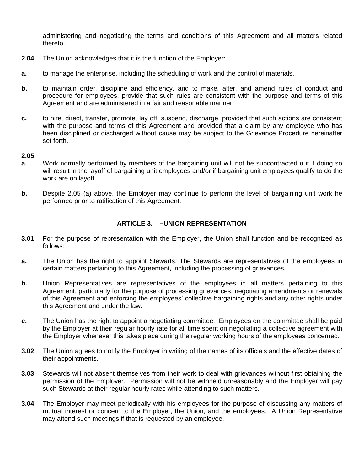administering and negotiating the terms and conditions of this Agreement and all matters related thereto.

- **2.04** The Union acknowledges that it is the function of the Employer:
- **a.** to manage the enterprise, including the scheduling of work and the control of materials.
- **b.** to maintain order, discipline and efficiency, and to make, alter, and amend rules of conduct and procedure for employees, provide that such rules are consistent with the purpose and terms of this Agreement and are administered in a fair and reasonable manner.
- **c.** to hire, direct, transfer, promote, lay off, suspend, discharge, provided that such actions are consistent with the purpose and terms of this Agreement and provided that a claim by any employee who has been disciplined or discharged without cause may be subject to the Grievance Procedure hereinafter set forth.

#### **2.05**

- **a.** Work normally performed by members of the bargaining unit will not be subcontracted out if doing so will result in the layoff of bargaining unit employees and/or if bargaining unit employees qualify to do the work are on layoff
- **b.** Despite 2.05 (a) above, the Employer may continue to perform the level of bargaining unit work he performed prior to ratification of this Agreement.

### **ARTICLE 3. –UNION REPRESENTATION**

- **3.01** For the purpose of representation with the Employer, the Union shall function and be recognized as follows:
- **a.** The Union has the right to appoint Stewarts. The Stewards are representatives of the employees in certain matters pertaining to this Agreement, including the processing of grievances.
- **b.** Union Representatives are representatives of the employees in all matters pertaining to this Agreement, particularly for the purpose of processing grievances, negotiating amendments or renewals of this Agreement and enforcing the employees' collective bargaining rights and any other rights under this Agreement and under the law.
- **c.** The Union has the right to appoint a negotiating committee. Employees on the committee shall be paid by the Employer at their regular hourly rate for all time spent on negotiating a collective agreement with the Employer whenever this takes place during the regular working hours of the employees concerned.
- **3.02** The Union agrees to notify the Employer in writing of the names of its officials and the effective dates of their appointments.
- **3.03** Stewards will not absent themselves from their work to deal with grievances without first obtaining the permission of the Employer. Permission will not be withheld unreasonably and the Employer will pay such Stewards at their regular hourly rates while attending to such matters.
- **3.04** The Employer may meet periodically with his employees for the purpose of discussing any matters of mutual interest or concern to the Employer, the Union, and the employees. A Union Representative may attend such meetings if that is requested by an employee.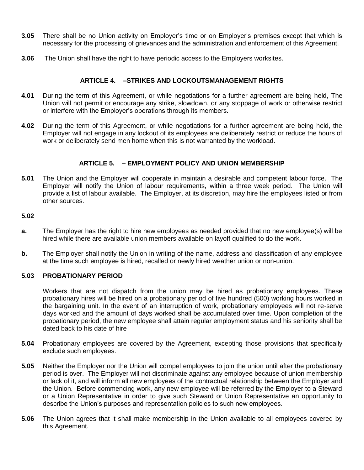- **3.05** There shall be no Union activity on Employer's time or on Employer's premises except that which is necessary for the processing of grievances and the administration and enforcement of this Agreement.
- **3.06** The Union shall have the right to have periodic access to the Employers worksites.

### **ARTICLE 4. –STRIKES AND LOCKOUTSMANAGEMENT RIGHTS**

- **4.01** During the term of this Agreement, or while negotiations for a further agreement are being held, The Union will not permit or encourage any strike, slowdown, or any stoppage of work or otherwise restrict or interfere with the Employer's operations through its members.
- **4.02** During the term of this Agreement, or while negotiations for a further agreement are being held, the Employer will not engage in any lockout of its employees are deliberately restrict or reduce the hours of work or deliberately send men home when this is not warranted by the workload.

### **ARTICLE 5. – EMPLOYMENT POLICY AND UNION MEMBERSHIP**

**5.01** The Union and the Employer will cooperate in maintain a desirable and competent labour force. The Employer will notify the Union of labour requirements, within a three week period. The Union will provide a list of labour available. The Employer, at its discretion, may hire the employees listed or from other sources.

### **5.02**

- **a.** The Employer has the right to hire new employees as needed provided that no new employee(s) will be hired while there are available union members available on layoff qualified to do the work.
- **b.** The Employer shall notify the Union in writing of the name, address and classification of any employee at the time such employee is hired, recalled or newly hired weather union or non-union.

### **5.03 PROBATIONARY PERIOD**

Workers that are not dispatch from the union may be hired as probationary employees. These probationary hires will be hired on a probationary period of five hundred (500) working hours worked in the bargaining unit. In the event of an interruption of work, probationary employees will not re-serve days worked and the amount of days worked shall be accumulated over time. Upon completion of the probationary period, the new employee shall attain regular employment status and his seniority shall be dated back to his date of hire

- **5.04** Probationary employees are covered by the Agreement, excepting those provisions that specifically exclude such employees.
- **5.05** Neither the Employer nor the Union will compel employees to join the union until after the probationary period is over. The Employer will not discriminate against any employee because of union membership or lack of it, and will inform all new employees of the contractual relationship between the Employer and the Union. Before commencing work, any new employee will be referred by the Employer to a Steward or a Union Representative in order to give such Steward or Union Representative an opportunity to describe the Union's purposes and representation policies to such new employees.
- **5.06** The Union agrees that it shall make membership in the Union available to all employees covered by this Agreement.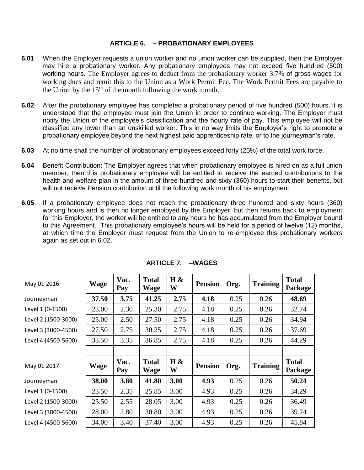#### **ARTICLE 6. – PROBATIONARY EMPLOYEES**

- **6.01** When the Employer requests a union worker and no union worker can be supplied, then the Employer may hire a probationary worker. Any probationary employees may not exceed five hundred (500) working hours. The Employer agrees to deduct from the probationary worker 3.7% of gross wages for working dues and remit this to the Union as a Work Permit Fee. The Work Permit Fees are payable to the Union by the  $15<sup>th</sup>$  of the month following the work month.
- **6.02** After the probationary employee has completed a probationary period of five hundred (500) hours, it is understood that the employee must join the Union in order to continue working. The Employer must notify the Union of the employee's classification and the hourly rate of pay. This employee will not be classified any lower than an unskilled worker. This in no way limits the Employer's right to promote a probationary employee beyond the next highest paid apprenticeship rate, or to the journeyman's rate.
- **6.03** At no time shall the number of probationary employees exceed forty (25%) of the total work force.
- **6.04** Benefit Contribution: The Employer agrees that when probationary employee is hired on as a full union member, then this probationary employee will be entitled to receive the earned contributions to the health and welfare plan in the amount of three hundred and sixty (360) hours to start their benefits, but will not receive Pension contribution until the following work month of his employment.
- **6.05** If a probationary employee does not reach the probationary three hundred and sixty hours (360) working hours and is then no longer employed by the Employer, but then returns back to employment for this Employer, the worker will be entitled to any hours he has accumulated from the Employer bound to this Agreement. This probationary employee's hours will be held for a period of twelve (12) months, at which time the Employer must request from the Union to re-employee this probationary workers again as set out in 6.02.

| May 01 2016         | <b>Wage</b> | Vac.<br>Pay | <b>Total</b><br>Wage | $H \&$<br>W | <b>Pension</b> | Org. | <b>Training</b> | <b>Total</b><br>Package |
|---------------------|-------------|-------------|----------------------|-------------|----------------|------|-----------------|-------------------------|
| Journeyman          | 37.50       | 3.75        | 41.25                | 2.75        | 4.18           | 0.25 | 0.26            | 48.69                   |
| Level 1 (0-1500)    | 23.00       | 2.30        | 25.30                | 2.75        | 4.18           | 0.25 | 0.26            | 32.74                   |
| Level 2 (1500-3000) | 25.00       | 2.50        | 27.50                | 2.75        | 4.18           | 0.25 | 0.26            | 34.94                   |
| Level 3 (3000-4500) | 27.50       | 2.75        | 30.25                | 2.75        | 4.18           | 0.25 | 0.26            | 37.69                   |
| Level 4 (4500-5600) | 33.50       | 3.35        | 36.85                | 2.75        | 4.18           | 0.25 | 0.26            | 44.29                   |
|                     |             |             |                      |             |                |      |                 |                         |
|                     |             |             |                      |             |                |      |                 |                         |
| May 01 2017         | <b>Wage</b> | Vac.<br>Pay | <b>Total</b><br>Wage | $H \&$<br>W | <b>Pension</b> | Org. | <b>Training</b> | <b>Total</b><br>Package |
| Journeyman          | 38.00       | 3.80        | 41.80                | 3.00        | 4.93           | 0.25 | 0.26            | 50.24                   |
| Level 1 (0-1500)    | 23.50       | 2.35        | 25.85                | 3.00        | 4.93           | 0.25 | 0.26            | 34.29                   |
| Level 2 (1500-3000) | 25.50       | 2.55        | 28.05                | 3.00        | 4.93           | 0.25 | 0.26            | 36.49                   |
| Level 3 (3000-4500) | 28.00       | 2.80        | 30.80                | 3.00        | 4.93           | 0.25 | 0.26            | 39.24                   |

### **ARTICLE 7. –WAGES**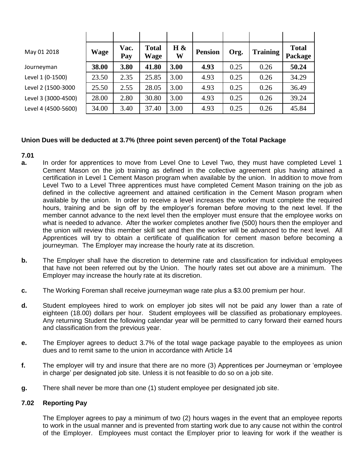| May 01 2018         | <b>Wage</b> | Vac.<br>Pay | <b>Total</b><br><b>Wage</b> | $H \&$<br>W | <b>Pension</b> | Org. | <b>Training</b> | <b>Total</b><br>Package |
|---------------------|-------------|-------------|-----------------------------|-------------|----------------|------|-----------------|-------------------------|
| Journeyman          | 38.00       | 3.80        | 41.80                       | 3.00        | 4.93           | 0.25 | 0.26            | 50.24                   |
| Level 1 (0-1500)    | 23.50       | 2.35        | 25.85                       | 3.00        | 4.93           | 0.25 | 0.26            | 34.29                   |
| Level 2 (1500-3000  | 25.50       | 2.55        | 28.05                       | 3.00        | 4.93           | 0.25 | 0.26            | 36.49                   |
| Level 3 (3000-4500) | 28.00       | 2.80        | 30.80                       | 3.00        | 4.93           | 0.25 | 0.26            | 39.24                   |
| Level 4 (4500-5600) | 34.00       | 3.40        | 37.40                       | 3.00        | 4.93           | 0.25 | 0.26            | 45.84                   |

### **Union Dues will be deducted at 3.7% (three point seven percent) of the Total Package**

#### **7.01**

- **a.** In order for apprentices to move from Level One to Level Two, they must have completed Level 1 Cement Mason on the job training as defined in the collective agreement plus having attained a certification in Level 1 Cement Mason program when available by the union. In addition to move from Level Two to a Level Three apprentices must have completed Cement Mason training on the job as defined in the collective agreement and attained certification in the Cement Mason program when available by the union. In order to receive a level increases the worker must complete the required hours, training and be sign off by the employer's foreman before moving to the next level. If the member cannot advance to the next level then the employer must ensure that the employee works on what is needed to advance. After the worker completes another five (500) hours then the employer and the union will review this member skill set and then the worker will be advanced to the next level. All Apprentices will try to obtain a certificate of qualification for cement mason before becoming a journeyman. The Employer may increase the hourly rate at its discretion.
- **b.** The Employer shall have the discretion to determine rate and classification for individual employees that have not been referred out by the Union. The hourly rates set out above are a minimum. The Employer may increase the hourly rate at its discretion.
- **c.** The Working Foreman shall receive journeyman wage rate plus a \$3.00 premium per hour.
- **d.** Student employees hired to work on employer job sites will not be paid any lower than a rate of eighteen (18.00) dollars per hour. Student employees will be classified as probationary employees. Any returning Student the following calendar year will be permitted to carry forward their earned hours and classification from the previous year.
- **e.** The Employer agrees to deduct 3.7% of the total wage package payable to the employees as union dues and to remit same to the union in accordance with Article 14
- **f.** The employer will try and insure that there are no more (3) Apprentices per Journeyman or 'employee in charge' per designated job site. Unless it is not feasible to do so on a job site.
- **g.** There shall never be more than one (1) student employee per designated job site.

#### **7.02 Reporting Pay**

The Employer agrees to pay a minimum of two (2) hours wages in the event that an employee reports to work in the usual manner and is prevented from starting work due to any cause not within the control of the Employer. Employees must contact the Employer prior to leaving for work if the weather is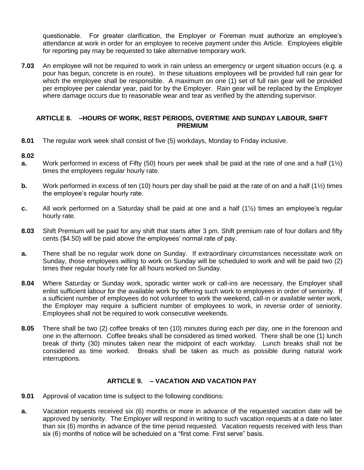questionable. For greater clarification, the Employer or Foreman must authorize an employee's attendance at work in order for an employee to receive payment under this Article. Employees eligible for reporting pay may be requested to take alternative temporary work.

**7.03** An employee will not be required to work in rain unless an emergency or urgent situation occurs (e.g. a pour has begun, concrete is en route). In these situations employees will be provided full rain gear for which the employee shall be responsible. A maximum on one (1) set of full rain gear will be provided per employee per calendar year, paid for by the Employer. Rain gear will be replaced by the Employer where damage occurs due to reasonable wear and tear as verified by the attending supervisor.

#### **ARTICLE 8. –HOURS OF WORK, REST PERIODS, OVERTIME AND SUNDAY LABOUR, SHIFT PREMIUM**

**8.01** The regular work week shall consist of five (5) workdays, Monday to Friday inclusive.

#### **8.02**

- **a.** Work performed in excess of Fifty (50) hours per week shall be paid at the rate of one and a half (1½) times the employees regular hourly rate.
- **b.** Work performed in excess of ten (10) hours per day shall be paid at the rate of on and a half (1½) times the employee's regular hourly rate.
- **c.** All work performed on a Saturday shall be paid at one and a half (1½) times an employee's regular hourly rate.
- **8.03** Shift Premium will be paid for any shift that starts after 3 pm. Shift premium rate of four dollars and fifty cents (\$4.50) will be paid above the employees' normal rate of pay.
- **a.** There shall be no regular work done on Sunday. If extraordinary circumstances necessitate work on Sunday, those employees willing to work on Sunday will be scheduled to work and will be paid two (2) times their regular hourly rate for all hours worked on Sunday.
- **8.04** Where Saturday or Sunday work, sporadic winter work or call-ins are necessary, the Employer shall enlist sufficient labour for the available work by offering such work to employees in order of seniority. If a sufficient number of employees do not volunteer to work the weekend, call-in or available winter work, the Employer may require a sufficient number of employees to work, in reverse order of seniority. Employees shall not be required to work consecutive weekends.
- **8.05** There shall be two (2) coffee breaks of ten (10) minutes during each per day, one in the forenoon and one in the afternoon. Coffee breaks shall be considered as timed worked. There shall be one (1) lunch break of thirty (30) minutes taken near the midpoint of each workday. Lunch breaks shall not be considered as time worked. Breaks shall be taken as much as possible during natural work interruptions.

### **ARTICLE 9. – VACATION AND VACATION PAY**

- **9.01** Approval of vacation time is subject to the following conditions:
- **a.** Vacation requests received six (6) months or more in advance of the requested vacation date will be approved by seniority. The Employer will respond in writing to such vacation requests at a date no later than six (6) months in advance of the time period requested. Vacation requests received with less than six (6) months of notice will be scheduled on a "first come. First serve" basis.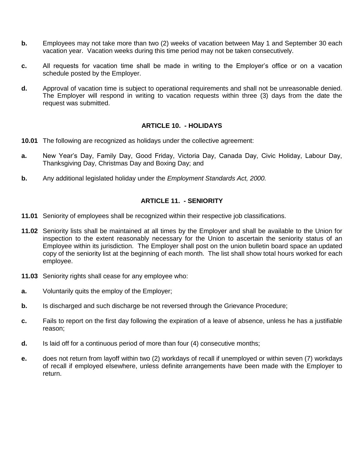- **b.** Employees may not take more than two (2) weeks of vacation between May 1 and September 30 each vacation year. Vacation weeks during this time period may not be taken consecutively.
- **c.** All requests for vacation time shall be made in writing to the Employer's office or on a vacation schedule posted by the Employer.
- **d.** Approval of vacation time is subject to operational requirements and shall not be unreasonable denied. The Employer will respond in writing to vacation requests within three (3) days from the date the request was submitted.

### **ARTICLE 10. - HOLIDAYS**

- **10.01** The following are recognized as holidays under the collective agreement:
- **a.** New Year's Day, Family Day, Good Friday, Victoria Day, Canada Day, Civic Holiday, Labour Day, Thanksgiving Day, Christmas Day and Boxing Day; and
- **b.** Any additional legislated holiday under the *Employment Standards Act, 2000.*

### **ARTICLE 11. - SENIORITY**

- **11.01** Seniority of employees shall be recognized within their respective job classifications.
- **11.02** Seniority lists shall be maintained at all times by the Employer and shall be available to the Union for inspection to the extent reasonably necessary for the Union to ascertain the seniority status of an Employee within its jurisdiction. The Employer shall post on the union bulletin board space an updated copy of the seniority list at the beginning of each month. The list shall show total hours worked for each employee.
- **11.03** Seniority rights shall cease for any employee who:
- **a.** Voluntarily quits the employ of the Employer;
- **b.** Is discharged and such discharge be not reversed through the Grievance Procedure;
- **c.** Fails to report on the first day following the expiration of a leave of absence, unless he has a justifiable reason;
- **d.** Is laid off for a continuous period of more than four (4) consecutive months;
- **e.** does not return from layoff within two (2) workdays of recall if unemployed or within seven (7) workdays of recall if employed elsewhere, unless definite arrangements have been made with the Employer to return.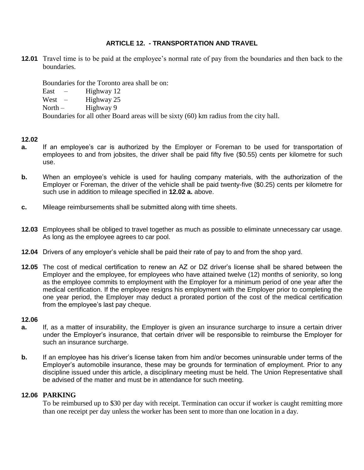### **ARTICLE 12. - TRANSPORTATION AND TRAVEL**

**12.01** Travel time is to be paid at the employee's normal rate of pay from the boundaries and then back to the boundaries.

Boundaries for the Toronto area shall be on:

East  $-$  Highway 12

West – Highway  $25$ 

North –  $\mu$  Highway 9

Boundaries for all other Board areas will be sixty (60) km radius from the city hall.

### **12.02**

- **a.** If an employee's car is authorized by the Employer or Foreman to be used for transportation of employees to and from jobsites, the driver shall be paid fifty five (\$0.55) cents per kilometre for such use.
- **b.** When an employee's vehicle is used for hauling company materials, with the authorization of the Employer or Foreman, the driver of the vehicle shall be paid twenty-five (\$0.25) cents per kilometre for such use in addition to mileage specified in **12.02 a.** above.
- **c.** Mileage reimbursements shall be submitted along with time sheets.
- **12.03** Employees shall be obliged to travel together as much as possible to eliminate unnecessary car usage. As long as the employee agrees to car pool.
- **12.04** Drivers of any employer's vehicle shall be paid their rate of pay to and from the shop yard.
- **12.05** The cost of medical certification to renew an AZ or DZ driver's license shall be shared between the Employer and the employee, for employees who have attained twelve (12) months of seniority, so long as the employee commits to employment with the Employer for a minimum period of one year after the medical certification. If the employee resigns his employment with the Employer prior to completing the one year period, the Employer may deduct a prorated portion of the cost of the medical certification from the employee's last pay cheque.

#### **12.06**

- **a.** If, as a matter of insurability, the Employer is given an insurance surcharge to insure a certain driver under the Employer's insurance, that certain driver will be responsible to reimburse the Employer for such an insurance surcharge.
- **b.** If an employee has his driver's license taken from him and/or becomes uninsurable under terms of the Employer's automobile insurance, these may be grounds for termination of employment. Prior to any discipline issued under this article, a disciplinary meeting must be held. The Union Representative shall be advised of the matter and must be in attendance for such meeting.

### **12.06 PARKING**

To be reimbursed up to \$30 per day with receipt. Termination can occur if worker is caught remitting more than one receipt per day unless the worker has been sent to more than one location in a day.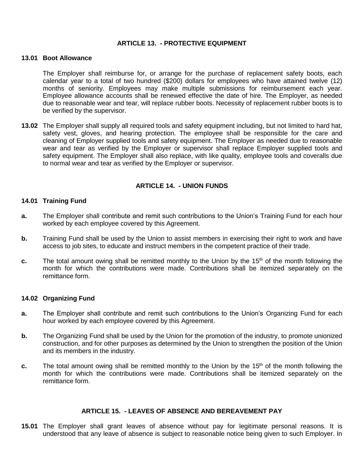### **ARTICLE 13. - PROTECTIVE EQUIPMENT**

#### **13.01 Boot Allowance**

The Employer shall reimburse for, or arrange for the purchase of replacement safety boots, each calendar year to a total of two hundred (\$200) dollars for employees who have attained twelve (12) months of seniority. Employees may make multiple submissions for reimbursement each year. Employee allowance accounts shall be renewed effective the date of hire. The Employer, as needed due to reasonable wear and tear, will replace rubber boots. Necessity of replacement rubber boots is to be verified by the supervisor.

**13.02** The Employer shall supply all required tools and safety equipment including, but not limited to hard hat, safety vest, gloves, and hearing protection. The employee shall be responsible for the care and cleaning of Employer supplied tools and safety equipment. The Employer as needed due to reasonable wear and tear as verified by the Employer or supervisor shall replace Employer supplied tools and safety equipment. The Employer shall also replace, with like quality, employee tools and coveralls due to normal wear and tear as verified by the Employer or supervisor.

### **ARTICLE 14. - UNION FUNDS**

#### **14.01 Training Fund**

- **a.** The Employer shall contribute and remit such contributions to the Union's Training Fund for each hour worked by each employee covered by this Agreement.
- **b.** Training Fund shall be used by the Union to assist members in exercising their right to work and have access to job sites, to educate and instruct members in the competent practice of their trade.
- **c.** The total amount owing shall be remitted monthly to the Union by the 15<sup>th</sup> of the month following the month for which the contributions were made. Contributions shall be itemized separately on the remittance form.

#### **14.02 Organizing Fund**

- **a.** The Employer shall contribute and remit such contributions to the Union's Organizing Fund for each hour worked by each employee covered by this Agreement.
- **b.** The Organizing Fund shall be used by the Union for the promotion of the industry, to promote unionized construction, and for other purposes as determined by the Union to strengthen the position of the Union and its members in the industry.
- **c.** The total amount owing shall be remitted monthly to the Union by the 15<sup>th</sup> of the month following the month for which the contributions were made. Contributions shall be itemized separately on the remittance form.

#### **ARTICLE 15. - LEAVES OF ABSENCE AND BEREAVEMENT PAY**

**15.01** The Employer shall grant leaves of absence without pay for legitimate personal reasons. It is understood that any leave of absence is subject to reasonable notice being given to such Employer. In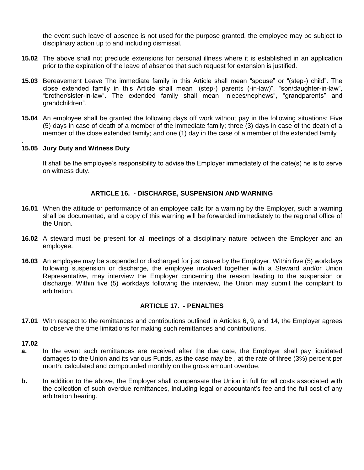the event such leave of absence is not used for the purpose granted, the employee may be subject to disciplinary action up to and including dismissal.

- **15.02** The above shall not preclude extensions for personal illness where it is established in an application prior to the expiration of the leave of absence that such request for extension is justified.
- **15.03** Bereavement Leave The immediate family in this Article shall mean "spouse" or "(step-) child". The close extended family in this Article shall mean "(step-) parents (-in-law)", "son/daughter-in-law", "brother/sister-in-law". The extended family shall mean "nieces/nephews", "grandparents" and grandchildren".
- **15.04** An employee shall be granted the following days off work without pay in the following situations: Five (5) days in case of death of a member of the immediate family; three (3) days in case of the death of a member of the close extended family; and one (1) day in the case of a member of the extended family

#### . **15.05 Jury Duty and Witness Duty**

It shall be the employee's responsibility to advise the Employer immediately of the date(s) he is to serve on witness duty.

### **ARTICLE 16. - DISCHARGE, SUSPENSION AND WARNING**

- **16.01** When the attitude or performance of an employee calls for a warning by the Employer, such a warning shall be documented, and a copy of this warning will be forwarded immediately to the regional office of the Union.
- **16.02** A steward must be present for all meetings of a disciplinary nature between the Employer and an employee.
- **16.03** An employee may be suspended or discharged for just cause by the Employer. Within five (5) workdays following suspension or discharge, the employee involved together with a Steward and/or Union Representative, may interview the Employer concerning the reason leading to the suspension or discharge. Within five (5) workdays following the interview, the Union may submit the complaint to arbitration.

### **ARTICLE 17. - PENALTIES**

**17.01** With respect to the remittances and contributions outlined in Articles 6, 9, and 14, the Employer agrees to observe the time limitations for making such remittances and contributions.

#### **17.02**

- **a.** In the event such remittances are received after the due date, the Employer shall pay liquidated damages to the Union and its various Funds, as the case may be , at the rate of three (3%) percent per month, calculated and compounded monthly on the gross amount overdue.
- **b.** In addition to the above, the Employer shall compensate the Union in full for all costs associated with the collection of such overdue remittances, including legal or accountant's fee and the full cost of any arbitration hearing.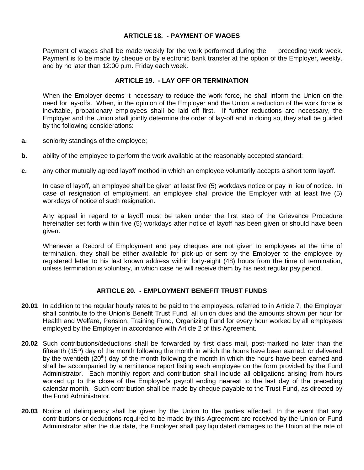### **ARTICLE 18. - PAYMENT OF WAGES**

 Payment of wages shall be made weekly for the work performed during the preceding work week. Payment is to be made by cheque or by electronic bank transfer at the option of the Employer, weekly, and by no later than 12:00 p.m. Friday each week.

#### **ARTICLE 19. - LAY OFF OR TERMINATION**

When the Employer deems it necessary to reduce the work force, he shall inform the Union on the need for lay-offs. When, in the opinion of the Employer and the Union a reduction of the work force is inevitable, probationary employees shall be laid off first. If further reductions are necessary, the Employer and the Union shall jointly determine the order of lay-off and in doing so, they shall be guided by the following considerations:

- **a.** seniority standings of the employee;
- **b.** ability of the employee to perform the work available at the reasonably accepted standard;
- **c.** any other mutually agreed layoff method in which an employee voluntarily accepts a short term layoff.

In case of layoff, an employee shall be given at least five (5) workdays notice or pay in lieu of notice. In case of resignation of employment, an employee shall provide the Employer with at least five (5) workdays of notice of such resignation.

Any appeal in regard to a layoff must be taken under the first step of the Grievance Procedure hereinafter set forth within five (5) workdays after notice of layoff has been given or should have been given.

Whenever a Record of Employment and pay cheques are not given to employees at the time of termination, they shall be either available for pick-up or sent by the Employer to the employee by registered letter to his last known address within forty-eight (48) hours from the time of termination, unless termination is voluntary, in which case he will receive them by his next regular pay period.

### **ARTICLE 20. - EMPLOYMENT BENEFIT TRUST FUNDS**

- **20.01** In addition to the regular hourly rates to be paid to the employees, referred to in Article 7, the Employer shall contribute to the Union's Benefit Trust Fund, all union dues and the amounts shown per hour for Health and Welfare, Pension, Training Fund, Organizing Fund for every hour worked by all employees employed by the Employer in accordance with Article 2 of this Agreement.
- **20.02** Such contributions/deductions shall be forwarded by first class mail, post-marked no later than the fifteenth  $(15<sup>th</sup>)$  day of the month following the month in which the hours have been earned, or delivered by the twentieth ( $20<sup>th</sup>$ ) day of the month following the month in which the hours have been earned and shall be accompanied by a remittance report listing each employee on the form provided by the Fund Administrator. Each monthly report and contribution shall include all obligations arising from hours worked up to the close of the Employer's payroll ending nearest to the last day of the preceding calendar month. Such contribution shall be made by cheque payable to the Trust Fund, as directed by the Fund Administrator.
- **20.03** Notice of delinquency shall be given by the Union to the parties affected. In the event that any contributions or deductions required to be made by this Agreement are received by the Union or Fund Administrator after the due date, the Employer shall pay liquidated damages to the Union at the rate of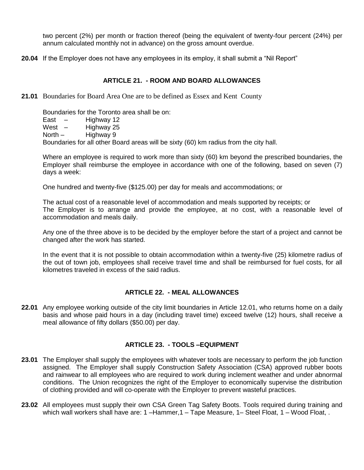two percent (2%) per month or fraction thereof (being the equivalent of twenty-four percent (24%) per annum calculated monthly not in advance) on the gross amount overdue.

**20.04** If the Employer does not have any employees in its employ, it shall submit a "Nil Report"

### **ARTICLE 21. - ROOM AND BOARD ALLOWANCES**

**21.01** Boundaries for Board Area One are to be defined as Essex and Kent County

Boundaries for the Toronto area shall be on: East  $-$  Highway 12 West – Highway 25 North – Highway 9 Boundaries for all other Board areas will be sixty (60) km radius from the city hall.

Where an employee is required to work more than sixty (60) km beyond the prescribed boundaries, the Employer shall reimburse the employee in accordance with one of the following, based on seven (7) days a week:

One hundred and twenty-five (\$125.00) per day for meals and accommodations; or

The actual cost of a reasonable level of accommodation and meals supported by receipts; or The Employer is to arrange and provide the employee, at no cost, with a reasonable level of accommodation and meals daily.

Any one of the three above is to be decided by the employer before the start of a project and cannot be changed after the work has started.

In the event that it is not possible to obtain accommodation within a twenty-five (25) kilometre radius of the out of town job, employees shall receive travel time and shall be reimbursed for fuel costs, for all kilometres traveled in excess of the said radius.

### **ARTICLE 22. - MEAL ALLOWANCES**

**22.01** Any employee working outside of the city limit boundaries in Article 12.01, who returns home on a daily basis and whose paid hours in a day (including travel time) exceed twelve (12) hours, shall receive a meal allowance of fifty dollars (\$50.00) per day.

### **ARTICLE 23. - TOOLS –EQUIPMENT**

- **23.01** The Employer shall supply the employees with whatever tools are necessary to perform the job function assigned. The Employer shall supply Construction Safety Association (CSA) approved rubber boots and rainwear to all employees who are required to work during inclement weather and under abnormal conditions. The Union recognizes the right of the Employer to economically supervise the distribution of clothing provided and will co-operate with the Employer to prevent wasteful practices.
- **23.02** All employees must supply their own CSA Green Tag Safety Boots. Tools required during training and which wall workers shall have are: 1 – Hammer, 1 – Tape Measure, 1 – Steel Float, 1 – Wood Float, .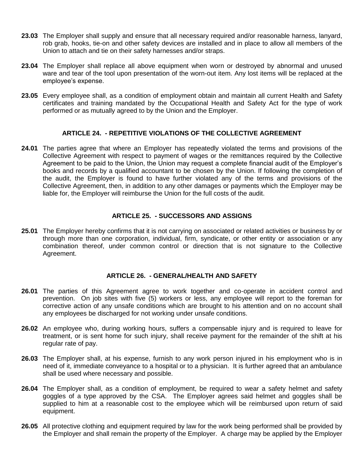- **23.03** The Employer shall supply and ensure that all necessary required and/or reasonable harness, lanyard, rob grab, hooks, tie-on and other safety devices are installed and in place to allow all members of the Union to attach and tie on their safety harnesses and/or straps.
- **23.04** The Employer shall replace all above equipment when worn or destroyed by abnormal and unused ware and tear of the tool upon presentation of the worn-out item. Any lost items will be replaced at the employee's expense.
- **23.05** Every employee shall, as a condition of employment obtain and maintain all current Health and Safety certificates and training mandated by the Occupational Health and Safety Act for the type of work performed or as mutually agreed to by the Union and the Employer.

### **ARTICLE 24. - REPETITIVE VIOLATIONS OF THE COLLECTIVE AGREEMENT**

**24.01** The parties agree that where an Employer has repeatedly violated the terms and provisions of the Collective Agreement with respect to payment of wages or the remittances required by the Collective Agreement to be paid to the Union, the Union may request a complete financial audit of the Employer's books and records by a qualified accountant to be chosen by the Union. If following the completion of the audit, the Employer is found to have further violated any of the terms and provisions of the Collective Agreement, then, in addition to any other damages or payments which the Employer may be liable for, the Employer will reimburse the Union for the full costs of the audit.

### **ARTICLE 25. - SUCCESSORS AND ASSIGNS**

**25.01** The Employer hereby confirms that it is not carrying on associated or related activities or business by or through more than one corporation, individual, firm, syndicate, or other entity or association or any combination thereof, under common control or direction that is not signature to the Collective Agreement.

#### **ARTICLE 26. - GENERAL/HEALTH AND SAFETY**

- **26.01** The parties of this Agreement agree to work together and co-operate in accident control and prevention. On job sites with five (5) workers or less, any employee will report to the foreman for corrective action of any unsafe conditions which are brought to his attention and on no account shall any employees be discharged for not working under unsafe conditions.
- **26.02** An employee who, during working hours, suffers a compensable injury and is required to leave for treatment, or is sent home for such injury, shall receive payment for the remainder of the shift at his regular rate of pay.
- **26.03** The Employer shall, at his expense, furnish to any work person injured in his employment who is in need of it, immediate conveyance to a hospital or to a physician. It is further agreed that an ambulance shall be used where necessary and possible.
- **26.04** The Employer shall, as a condition of employment, be required to wear a safety helmet and safety goggles of a type approved by the CSA. The Employer agrees said helmet and goggles shall be supplied to him at a reasonable cost to the employee which will be reimbursed upon return of said equipment.
- **26.05** All protective clothing and equipment required by law for the work being performed shall be provided by the Employer and shall remain the property of the Employer. A charge may be applied by the Employer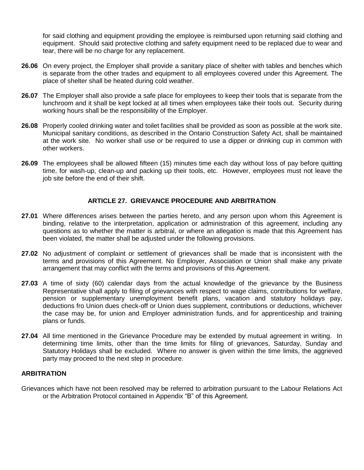for said clothing and equipment providing the employee is reimbursed upon returning said clothing and equipment. Should said protective clothing and safety equipment need to be replaced due to wear and tear, there will be no charge for any replacement.

- **26.06** On every project, the Employer shall provide a sanitary place of shelter with tables and benches which is separate from the other trades and equipment to all employees covered under this Agreement. The place of shelter shall be heated during cold weather.
- **26.07** The Employer shall also provide a safe place for employees to keep their tools that is separate from the lunchroom and it shall be kept locked at all times when employees take their tools out. Security during working hours shall be the responsibility of the Employer.
- **26.08** Properly cooled drinking water and toilet facilities shall be provided as soon as possible at the work site. Municipal sanitary conditions, as described in the Ontario Construction Safety Act, shall be maintained at the work site. No worker shall use or be required to use a dipper or drinking cup in common with other workers.
- **26.09** The employees shall be allowed fifteen (15) minutes time each day without loss of pay before quitting time, for wash-up, clean-up and packing up their tools, etc. However, employees must not leave the job site before the end of their shift.

### **ARTICLE 27. GRIEVANCE PROCEDURE AND ARBITRATION**

- **27.01** Where differences arises between the parties hereto, and any person upon whom this Agreement is binding, relative to the interpretation, application or administration of this agreement, including any questions as to whether the matter is arbitral, or where an allegation is made that this Agreement has been violated, the matter shall be adjusted under the following provisions.
- **27.02** No adjustment of complaint or settlement of grievances shall be made that is inconsistent with the terms and provisions of this Agreement. No Employer, Association or Union shall make any private arrangement that may conflict with the terms and provisions of this Agreement.
- **27.03** A time of sixty (60) calendar days from the actual knowledge of the grievance by the Business Representative shall apply to filing of grievances with respect to wage claims, contributions for welfare, pension or supplementary unemployment benefit plans, vacation and statutory holidays pay, deductions fro Union dues check-off or Union dues supplement, contributions or deductions, whichever the case may be, for union and Employer administration funds, and for apprenticeship and training plans or funds.
- 27.04 All time mentioned in the Grievance Procedure may be extended by mutual agreement in writing. In determining time limits, other than the time limits for filing of grievances, Saturday, Sunday and Statutory Holidays shall be excluded. Where no answer is given within the time limits, the aggrieved party may proceed to the next step in procedure.

#### **ARBITRATION**

Grievances which have not been resolved may be referred to arbitration pursuant to the Labour Relations Act or the Arbitration Protocol contained in Appendix "B" of this Agreement.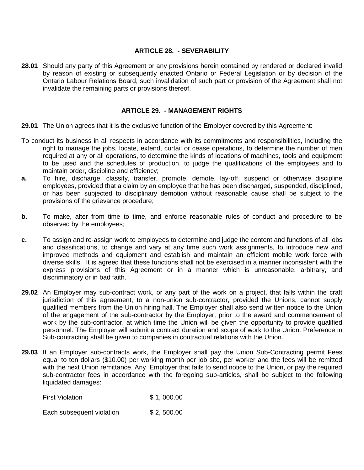### **ARTICLE 28. - SEVERABILITY**

**28.01** Should any party of this Agreement or any provisions herein contained by rendered or declared invalid by reason of existing or subsequently enacted Ontario or Federal Legislation or by decision of the Ontario Labour Relations Board, such invalidation of such part or provision of the Agreement shall not invalidate the remaining parts or provisions thereof.

#### **ARTICLE 29. - MANAGEMENT RIGHTS**

**29.01** The Union agrees that it is the exclusive function of the Employer covered by this Agreement:

- To conduct its business in all respects in accordance with its commitments and responsibilities, including the right to manage the jobs, locate, extend, curtail or cease operations, to determine the number of men required at any or all operations, to determine the kinds of locations of machines, tools and equipment to be used and the schedules of production, to judge the qualifications of the employees and to maintain order, discipline and efficiency;
- **a.** To hire, discharge, classify, transfer, promote, demote, lay-off, suspend or otherwise discipline employees, provided that a claim by an employee that he has been discharged, suspended, disciplined, or has been subjected to disciplinary demotion without reasonable cause shall be subject to the provisions of the grievance procedure;
- **b.** To make, alter from time to time, and enforce reasonable rules of conduct and procedure to be observed by the employees;
- **c.** To assign and re-assign work to employees to determine and judge the content and functions of all jobs and classifications, to change and vary at any time such work assignments, to introduce new and improved methods and equipment and establish and maintain an efficient mobile work force with diverse skills. It is agreed that these functions shall not be exercised in a manner inconsistent with the express provisions of this Agreement or in a manner which is unreasonable, arbitrary, and discriminatory or in bad faith.
- **29.02** An Employer may sub-contract work, or any part of the work on a project, that falls within the craft jurisdiction of this agreement, to a non-union sub-contractor, provided the Unions, cannot supply qualified members from the Union hiring hall. The Employer shall also send written notice to the Union of the engagement of the sub-contractor by the Employer, prior to the award and commencement of work by the sub-contractor, at which time the Union will be given the opportunity to provide qualified personnel. The Employer will submit a contract duration and scope of work to the Union. Preference in Sub-contracting shall be given to companies in contractual relations with the Union.
- **29.03** If an Employer sub-contracts work, the Employer shall pay the Union Sub-Contracting permit Fees equal to ten dollars (\$10.00) per working month per job site, per worker and the fees will be remitted with the next Union remittance. Any Employer that fails to send notice to the Union, or pay the required sub-contractor fees in accordance with the foregoing sub-articles, shall be subject to the following liquidated damages:

**First Violation** \$ 1, 000.00

Each subsequent violation \$ 2,500.00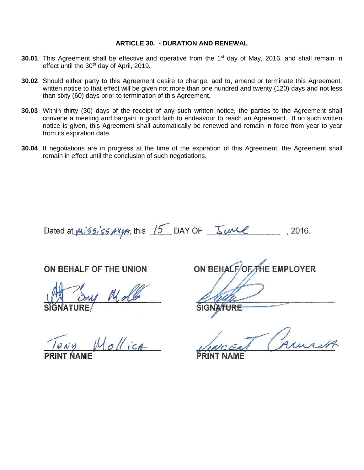#### **ARTICLE 30. - DURATION AND RENEWAL**

- **30.01** This Agreement shall be effective and operative from the 1<sup>st</sup> day of May, 2016, and shall remain in effect until the 30<sup>th</sup> day of April, 2019.
- **30.02** Should either party to this Agreement desire to change, add to, amend or terminate this Agreement, written notice to that effect will be given not more than one hundred and twenty (120) days and not less than sixty (60) days prior to termination of this Agreement.
- **30.03** Within thirty (30) days of the receipt of any such written notice, the parties to the Agreement shall convene a meeting and bargain in good faith to endeavour to reach an Agreement. If no such written notice is given, this Agreement shall automatically be renewed and remain in force from year to year from its expiration date.
- **30.04** If negotiations are in progress at the time of the expiration of this Agreement, the Agreement shall remain in effect until the conclusion of such negotiations.

Dated at  $m_i$  is  $s_i$  is  $s_i$   $\overline{s_i}$  this  $15$  DAY OF  $\frac{s_i}{s_i}$  DAY OF  $\frac{s_i}{s_i}$ , 2016.

# ON BEHALF OF THE UNION

ollica

ON BEHALFOF THE EMPLOYER

**SIGNA<del>TURE</del>**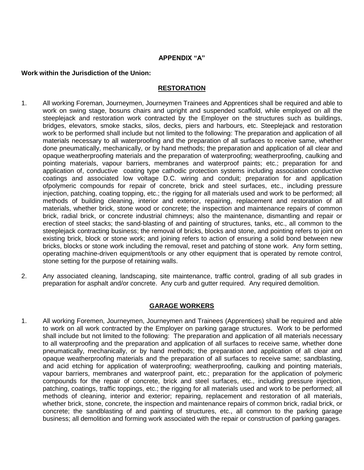#### **APPENDIX "A"**

#### **Work within the Jurisdiction of the Union:**

#### **RESTORATION**

- 1. All working Foreman, Journeymen, Journeymen Trainees and Apprentices shall be required and able to work on swing stage, bosuns chairs and upright and suspended scaffold, while employed on all the steeplejack and restoration work contracted by the Employer on the structures such as buildings, bridges, elevators, smoke stacks, silos, decks, piers and harbours, etc. Steeplejack and restoration work to be performed shall include but not limited to the following: The preparation and application of all materials necessary to all waterproofing and the preparation of all surfaces to receive same, whether done pneumatically, mechanically, or by hand methods; the preparation and application of all clear and opaque weatherproofing materials and the preparation of waterproofing; weatherproofing, caulking and pointing materials, vapour barriers, membranes and waterproof paints; etc.; preparation for and application of, conductive coating type cathodic protection systems including association conductive coatings and associated low voltage D.C. wiring and conduit; preparation for and application ofpolymeric compounds for repair of concrete, brick and steel surfaces, etc., including pressure injection, patching, coating topping, etc.; the rigging for all materials used and work to be performed; all methods of building cleaning, interior and exterior, repairing, replacement and restoration of all materials, whether brick, stone wood or concrete; the inspection and maintenance repairs of common brick, radial brick, or concrete industrial chimneys; also the maintenance, dismantling and repair or erection of steel stacks; the sand-blasting of and painting of structures, tanks, etc., all common to the steeplejack contracting business; the removal of bricks, blocks and stone, and pointing refers to joint on existing brick, block or stone work; and joining refers to action of ensuring a solid bond between new bricks, blocks or stone work including the removal, reset and patching of stone work. Any form setting, operating machine-driven equipment/tools or any other equipment that is operated by remote control, stone setting for the purpose of retaining walls.
- 2. Any associated cleaning, landscaping, site maintenance, traffic control, grading of all sub grades in preparation for asphalt and/or concrete. Any curb and gutter required. Any required demolition.

### **GARAGE WORKERS**

1. All working Foremen, Journeymen, Journeymen and Trainees (Apprentices) shall be required and able to work on all work contracted by the Employer on parking garage structures. Work to be performed shall include but not limited to the following: The preparation and application of all materials necessary to all waterproofing and the preparation and application of all surfaces to receive same, whether done pneumatically, mechanically, or by hand methods; the preparation and application of all clear and opaque weatherproofing materials and the preparation of all surfaces to receive same; sandblasting, and acid etching for application of waterproofing; weatherproofing, caulking and pointing materials, vapour barriers, membranes and waterproof paint, etc.; preparation for the application of polymeric compounds for the repair of concrete, brick and steel surfaces, etc., including pressure injection, patching, coatings, traffic toppings, etc.; the rigging for all materials used and work to be performed; all methods of cleaning, interior and exterior; repairing, replacement and restoration of all materials, whether brick, stone, concrete, the inspection and maintenance repairs of common brick, radial brick, or concrete; the sandblasting of and painting of structures, etc., all common to the parking garage business; all demolition and forming work associated with the repair or construction of parking garages.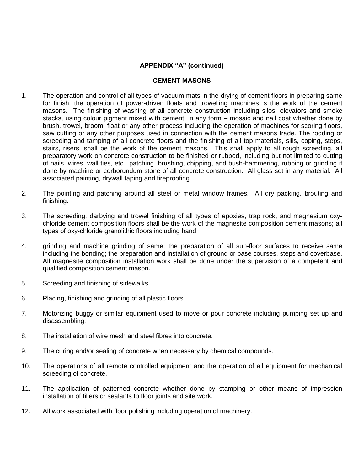### **APPENDIX "A" (continued)**

#### **CEMENT MASONS**

- 1. The operation and control of all types of vacuum mats in the drying of cement floors in preparing same for finish, the operation of power-driven floats and trowelling machines is the work of the cement masons. The finishing of washing of all concrete construction including silos, elevators and smoke stacks, using colour pigment mixed with cement, in any form – mosaic and nail coat whether done by brush, trowel, broom, float or any other process including the operation of machines for scoring floors, saw cutting or any other purposes used in connection with the cement masons trade. The rodding or screeding and tamping of all concrete floors and the finishing of all top materials, sills, coping, steps, stairs, risers, shall be the work of the cement masons. This shall apply to all rough screeding, all preparatory work on concrete construction to be finished or rubbed, including but not limited to cutting of nails, wires, wall ties, etc., patching, brushing, chipping, and bush-hammering, rubbing or grinding if done by machine or corborundum stone of all concrete construction. All glass set in any material. All associated painting, drywall taping and fireproofing.
- 2. The pointing and patching around all steel or metal window frames. All dry packing, brouting and finishing.
- 3. The screeding, darbying and trowel finishing of all types of epoxies, trap rock, and magnesium oxychloride cement composition floors shall be the work of the magnesite composition cement masons; all types of oxy-chloride granolithic floors including hand
- 4. grinding and machine grinding of same; the preparation of all sub-floor surfaces to receive same including the bonding; the preparation and installation of ground or base courses, steps and coverbase. All magnesite composition installation work shall be done under the supervision of a competent and qualified composition cement mason.
- 5. Screeding and finishing of sidewalks.
- 6. Placing, finishing and grinding of all plastic floors.
- 7. Motorizing buggy or similar equipment used to move or pour concrete including pumping set up and disassembling.
- 8. The installation of wire mesh and steel fibres into concrete.
- 9. The curing and/or sealing of concrete when necessary by chemical compounds.
- 10. The operations of all remote controlled equipment and the operation of all equipment for mechanical screeding of concrete.
- 11. The application of patterned concrete whether done by stamping or other means of impression installation of fillers or sealants to floor joints and site work.
- 12. All work associated with floor polishing including operation of machinery.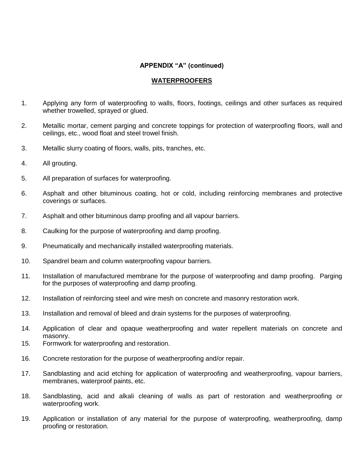### **APPENDIX "A" (continued)**

#### **WATERPROOFERS**

- 1. Applying any form of waterproofing to walls, floors, footings, ceilings and other surfaces as required whether trowelled, sprayed or glued.
- 2. Metallic mortar, cement parging and concrete toppings for protection of waterproofing floors, wall and ceilings, etc., wood float and steel trowel finish.
- 3. Metallic slurry coating of floors, walls, pits, tranches, etc.
- 4. All grouting.
- 5. All preparation of surfaces for waterproofing.
- 6. Asphalt and other bituminous coating, hot or cold, including reinforcing membranes and protective coverings or surfaces.
- 7. Asphalt and other bituminous damp proofing and all vapour barriers.
- 8. Caulking for the purpose of waterproofing and damp proofing.
- 9. Pneumatically and mechanically installed waterproofing materials.
- 10. Spandrel beam and column waterproofing vapour barriers.
- 11. Installation of manufactured membrane for the purpose of waterproofing and damp proofing. Parging for the purposes of waterproofing and damp proofing.
- 12. Installation of reinforcing steel and wire mesh on concrete and masonry restoration work.
- 13. Installation and removal of bleed and drain systems for the purposes of waterproofing.
- 14. Application of clear and opaque weatherproofing and water repellent materials on concrete and masonry.
- 15. Formwork for waterproofing and restoration.
- 16. Concrete restoration for the purpose of weatherproofing and/or repair.
- 17. Sandblasting and acid etching for application of waterproofing and weatherproofing, vapour barriers, membranes, waterproof paints, etc.
- 18. Sandblasting, acid and alkali cleaning of walls as part of restoration and weatherproofing or waterproofing work.
- 19. Application or installation of any material for the purpose of waterproofing, weatherproofing, damp proofing or restoration.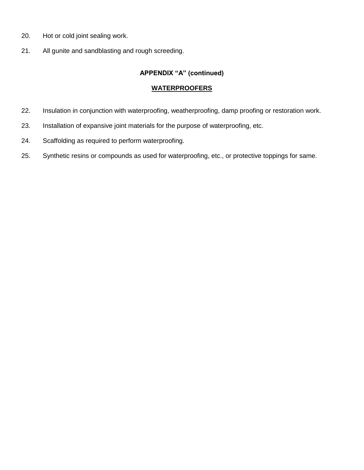- 20. Hot or cold joint sealing work.
- 21. All gunite and sandblasting and rough screeding.

## **APPENDIX "A" (continued)**

#### **WATERPROOFERS**

- 22. Insulation in conjunction with waterproofing, weatherproofing, damp proofing or restoration work.
- 23. Installation of expansive joint materials for the purpose of waterproofing, etc.
- 24. Scaffolding as required to perform waterproofing.
- 25. Synthetic resins or compounds as used for waterproofing, etc., or protective toppings for same.